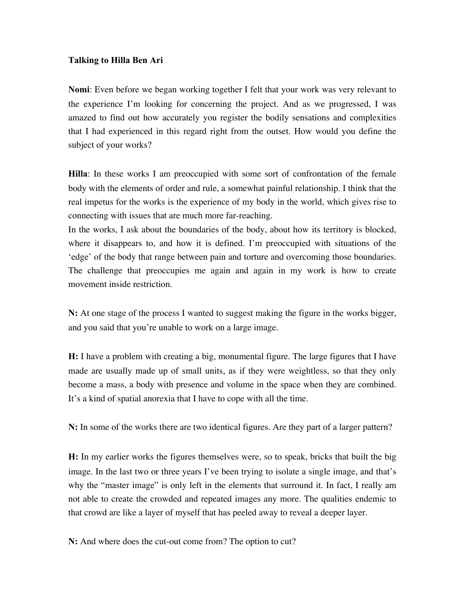## **Talking to Hilla Ben Ari**

**Nomi**: Even before we began working together I felt that your work was very relevant to the experience I'm looking for concerning the project. And as we progressed, I was amazed to find out how accurately you register the bodily sensations and complexities that I had experienced in this regard right from the outset. How would you define the subject of your works?

**Hilla**: In these works I am preoccupied with some sort of confrontation of the female body with the elements of order and rule, a somewhat painful relationship. I think that the real impetus for the works is the experience of my body in the world, which gives rise to connecting with issues that are much more far-reaching.

In the works, I ask about the boundaries of the body, about how its territory is blocked, where it disappears to, and how it is defined. I'm preoccupied with situations of the 'edge' of the body that range between pain and torture and overcoming those boundaries. The challenge that preoccupies me again and again in my work is how to create movement inside restriction.

**N:** At one stage of the process I wanted to suggest making the figure in the works bigger, and you said that you're unable to work on a large image.

**H:** I have a problem with creating a big, monumental figure. The large figures that I have made are usually made up of small units, as if they were weightless, so that they only become a mass, a body with presence and volume in the space when they are combined. It's a kind of spatial anorexia that I have to cope with all the time.

**N:** In some of the works there are two identical figures. Are they part of a larger pattern?

**H:** In my earlier works the figures themselves were, so to speak, bricks that built the big image. In the last two or three years I've been trying to isolate a single image, and that's why the "master image" is only left in the elements that surround it. In fact, I really am not able to create the crowded and repeated images any more. The qualities endemic to that crowd are like a layer of myself that has peeled away to reveal a deeper layer.

**N:** And where does the cut-out come from? The option to cut?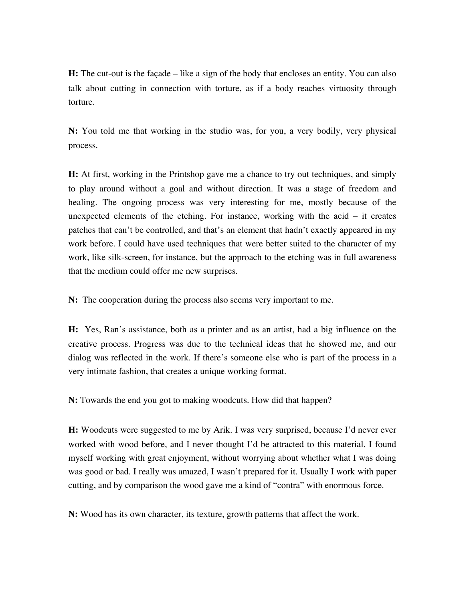**H:** The cut-out is the façade – like a sign of the body that encloses an entity. You can also talk about cutting in connection with torture, as if a body reaches virtuosity through torture.

**N:** You told me that working in the studio was, for you, a very bodily, very physical process.

**H:** At first, working in the Printshop gave me a chance to try out techniques, and simply to play around without a goal and without direction. It was a stage of freedom and healing. The ongoing process was very interesting for me, mostly because of the unexpected elements of the etching. For instance, working with the acid – it creates patches that can't be controlled, and that's an element that hadn't exactly appeared in my work before. I could have used techniques that were better suited to the character of my work, like silk-screen, for instance, but the approach to the etching was in full awareness that the medium could offer me new surprises.

**N:** The cooperation during the process also seems very important to me.

**H:** Yes, Ran's assistance, both as a printer and as an artist, had a big influence on the creative process. Progress was due to the technical ideas that he showed me, and our dialog was reflected in the work. If there's someone else who is part of the process in a very intimate fashion, that creates a unique working format.

**N:** Towards the end you got to making woodcuts. How did that happen?

**H:** Woodcuts were suggested to me by Arik. I was very surprised, because I'd never ever worked with wood before, and I never thought I'd be attracted to this material. I found myself working with great enjoyment, without worrying about whether what I was doing was good or bad. I really was amazed, I wasn't prepared for it. Usually I work with paper cutting, and by comparison the wood gave me a kind of "contra" with enormous force.

**N:** Wood has its own character, its texture, growth patterns that affect the work.